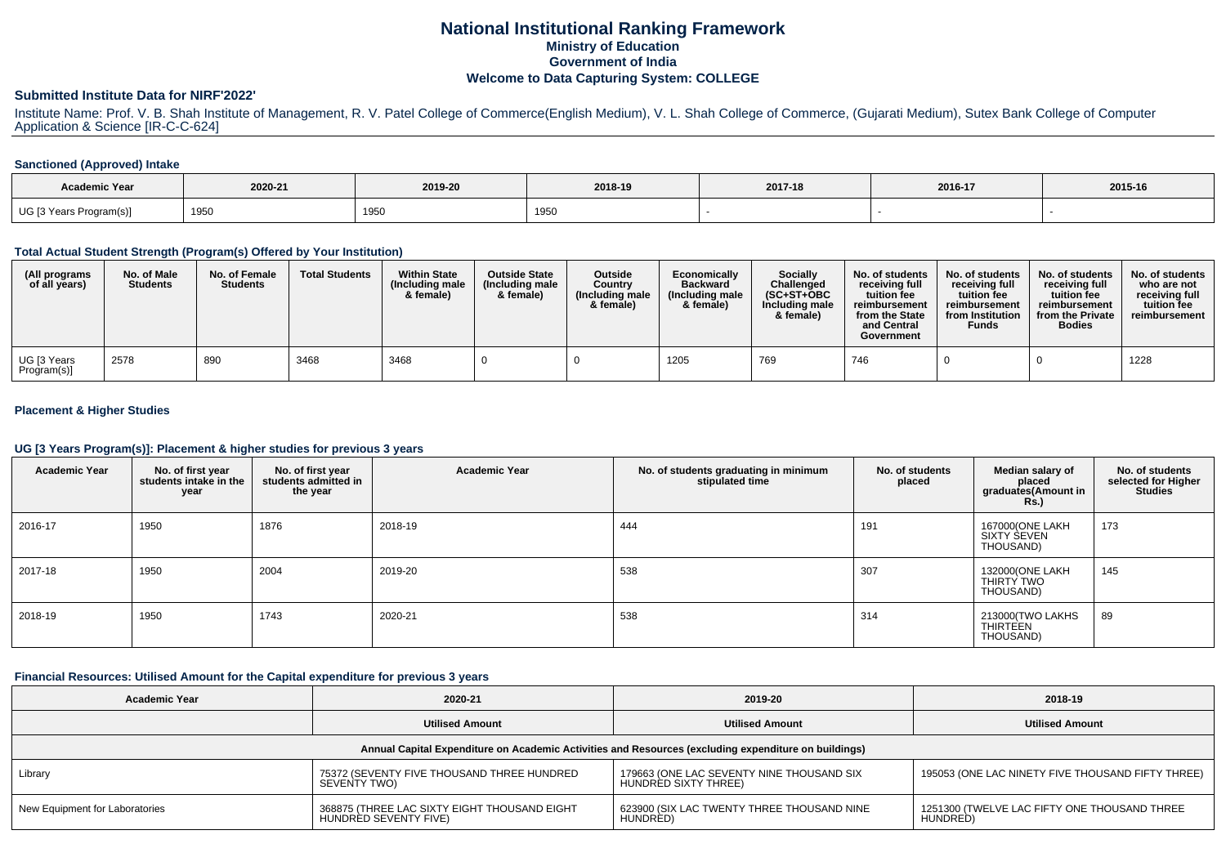# **National Institutional Ranking FrameworkMinistry of Education Government of IndiaWelcome to Data Capturing System: COLLEGE**

### **Submitted Institute Data for NIRF'2022'**

Institute Name: Prof. V. B. Shah Institute of Management, R. V. Patel College of Commerce(English Medium), V. L. Shah College of Commerce, (Gujarati Medium), Sutex Bank College of Computer Application & Science [IR-C-C-624]

#### **Sanctioned (Approved) Intake**

| <b>Academic Year</b>    | 2020-21 | 2019-20 | 2018-19 | 2017-18 | 2016-17 | 2015-16 |
|-------------------------|---------|---------|---------|---------|---------|---------|
| UG [3 Years Program(s)] | 1950    | 1950    | 1950    |         |         |         |

### **Total Actual Student Strength (Program(s) Offered by Your Institution)**

| (All programs<br>of all years) | No. of Male<br><b>Students</b> | No. of Female<br><b>Students</b> | <b>Total Students</b> | <b>Within State</b><br>(Including male<br>& female) | <b>Outside State</b><br>(Including male<br>& female) | Outside<br>Country<br>(Including male)<br>& female) | Economically<br><b>Backward</b><br>(Including male<br>& female) | Socially<br>Challenged<br>$(SC+ST+OBC)$<br>Including male<br>& female) | No. of students<br>receivina full<br>tuition fee<br>reimbursement<br>from the State<br>and Central<br>Government | No. of students<br>receivina full<br>tuition fee<br>reimbursement<br>from Institution<br><b>Funds</b> | No. of students<br>receivina full<br>tuition fee<br>reimbursement<br>from the Private<br><b>Bodies</b> | No. of students<br>who are not<br>receiving full<br>tuition fee<br>reimbursement |
|--------------------------------|--------------------------------|----------------------------------|-----------------------|-----------------------------------------------------|------------------------------------------------------|-----------------------------------------------------|-----------------------------------------------------------------|------------------------------------------------------------------------|------------------------------------------------------------------------------------------------------------------|-------------------------------------------------------------------------------------------------------|--------------------------------------------------------------------------------------------------------|----------------------------------------------------------------------------------|
| UG [3 Years<br>Program(s)]     | 2578                           | 890                              | 3468                  | 3468                                                |                                                      |                                                     | 1205                                                            | 769                                                                    | 746                                                                                                              |                                                                                                       |                                                                                                        | 1228                                                                             |

#### **Placement & Higher Studies**

#### **UG [3 Years Program(s)]: Placement & higher studies for previous 3 years**

| <b>Academic Year</b> | No. of first year<br>students intake in the<br>year | No. of first year<br>students admitted in<br>the year | <b>Academic Year</b> | No. of students graduating in minimum<br>stipulated time | No. of students<br>placed | Median salary of<br>placed<br>graduates(Amount in<br><b>Rs.)</b> | No. of students<br>selected for Higher<br><b>Studies</b> |
|----------------------|-----------------------------------------------------|-------------------------------------------------------|----------------------|----------------------------------------------------------|---------------------------|------------------------------------------------------------------|----------------------------------------------------------|
| 2016-17              | 1950                                                | 1876                                                  | 2018-19              | 444                                                      | 191                       | 167000(ONE LAKH<br>SIXTY SEVEN<br>THOUSAND)                      | 173                                                      |
| 2017-18              | 1950                                                | 2004                                                  | 2019-20              | 538                                                      | 307                       | 132000(ONE LAKH<br>THIRTY TWO<br>THOUSAND)                       | 145                                                      |
| 2018-19              | 1950                                                | 1743                                                  | 2020-21              | 538                                                      | 314                       | 213000 TWO LAKHS<br><b>THIRTEEN</b><br>THOUSAND)                 | 89                                                       |

### **Financial Resources: Utilised Amount for the Capital expenditure for previous 3 years**

| <b>Academic Year</b>                                                                                 | 2020-21                                                               | 2019-20                                                           | 2018-19                                                  |  |  |  |  |  |  |  |  |
|------------------------------------------------------------------------------------------------------|-----------------------------------------------------------------------|-------------------------------------------------------------------|----------------------------------------------------------|--|--|--|--|--|--|--|--|
|                                                                                                      | <b>Utilised Amount</b>                                                | <b>Utilised Amount</b>                                            | <b>Utilised Amount</b>                                   |  |  |  |  |  |  |  |  |
| Annual Capital Expenditure on Academic Activities and Resources (excluding expenditure on buildings) |                                                                       |                                                                   |                                                          |  |  |  |  |  |  |  |  |
| Library                                                                                              | 75372 (SEVENTY FIVE THOUSAND THREE HUNDRED<br>SEVENTY TWO)            | 179663 (ONE LAC SEVENTY NINE THOUSAND SIX<br>HUNDRED SIXTY THREE) | 195053 (ONE LAC NINETY FIVE THOUSAND FIFTY THREE)        |  |  |  |  |  |  |  |  |
| New Equipment for Laboratories                                                                       | 368875 (THREE LAC SIXTY EIGHT THOUSAND EIGHT<br>HUNDRED SEVENTY FIVE) | 623900 (SIX LAC TWENTY THREE THOUSAND NINE<br>HUNDRED)            | 1251300 (TWELVE LAC FIFTY ONE THOUSAND THREE<br>HUNDRED) |  |  |  |  |  |  |  |  |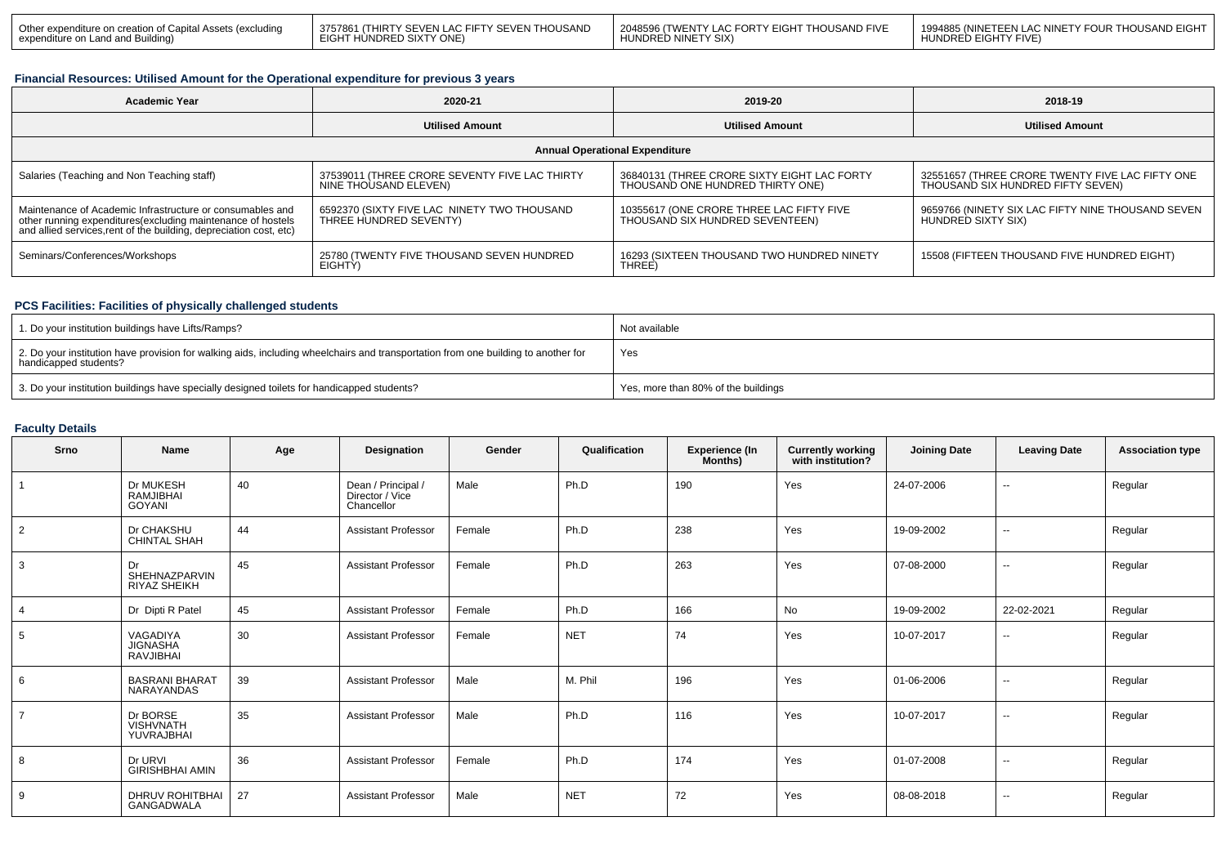| Dther expenditure on creation of Capital Assets (excluding | 3757861 (THIRTY SEVEN LAC FIFTY SEVEN THOUSAND | I 2048596 (TWENTY LAC FORTY EIGHT THOUSAND FIVE | I 1994885 (NINETEEN LAC NINETY FOUR THOUSAND EIGHT |
|------------------------------------------------------------|------------------------------------------------|-------------------------------------------------|----------------------------------------------------|
| expenditure on Land and Building)                          | EIGHT HÙNDRED SIXTY ONE)                       | HUNDRED NINETY SIX)                             | HUNDRED EIGHTY FIVE                                |

# **Financial Resources: Utilised Amount for the Operational expenditure for previous 3 years**

| <b>Academic Year</b>                                                                                                                                                                            | 2020-21                                                                | 2019-20                                                                         | 2018-19                                                                              |  |  |  |  |  |  |  |
|-------------------------------------------------------------------------------------------------------------------------------------------------------------------------------------------------|------------------------------------------------------------------------|---------------------------------------------------------------------------------|--------------------------------------------------------------------------------------|--|--|--|--|--|--|--|
|                                                                                                                                                                                                 | <b>Utilised Amount</b>                                                 | <b>Utilised Amount</b>                                                          | <b>Utilised Amount</b>                                                               |  |  |  |  |  |  |  |
| <b>Annual Operational Expenditure</b>                                                                                                                                                           |                                                                        |                                                                                 |                                                                                      |  |  |  |  |  |  |  |
| Salaries (Teaching and Non Teaching staff)                                                                                                                                                      | 37539011 (THREE CRORE SEVENTY FIVE LAC THIRTY<br>NINE THOUSAND ELEVEN) | 36840131 (THREE CRORE SIXTY EIGHT LAC FORTY<br>THOUSAND ONE HUNDRED THIRTY ONE) | 32551657 (THREE CRORE TWENTY FIVE LAC FIFTY ONE<br>THOUSAND SIX HUNDRED FIFTY SEVEN) |  |  |  |  |  |  |  |
| Maintenance of Academic Infrastructure or consumables and<br>other running expenditures (excluding maintenance of hostels<br>and allied services, rent of the building, depreciation cost, etc) | 6592370 (SIXTY FIVE LAC NINETY TWO THOUSAND<br>THREE HUNDRED SEVENTY)  | 10355617 (ONE CRORE THREE LAC FIFTY FIVE<br>THOUSAND SIX HUNDRED SEVENTEEN)     | 9659766 (NINETY SIX LAC FIFTY NINE THOUSAND SEVEN<br>HUNDRED SIXTY SIX)              |  |  |  |  |  |  |  |
| Seminars/Conferences/Workshops                                                                                                                                                                  | 25780 (TWENTY FIVE THOUSAND SEVEN HUNDRED<br>EIGHTÝ)                   | 16293 (SIXTEEN THOUSAND TWO HUNDRED NINETY<br>THREE)                            | 15508 (FIFTEEN THOUSAND FIVE HUNDRED EIGHT)                                          |  |  |  |  |  |  |  |

# **PCS Facilities: Facilities of physically challenged students**

| 1. Do your institution buildings have Lifts/Ramps?                                                                                                         | Not available                       |
|------------------------------------------------------------------------------------------------------------------------------------------------------------|-------------------------------------|
| 2. Do your institution have provision for walking aids, including wheelchairs and transportation from one building to another for<br>handicapped students? | Yes                                 |
| 3. Do your institution buildings have specially designed toilets for handicapped students?                                                                 | Yes, more than 80% of the buildings |

## **Faculty Details**

| Srno           | Name                                       | Age | Designation                                         | Gender | Qualification | <b>Experience (In</b><br>Months) | <b>Currently working</b><br>with institution? | <b>Joining Date</b> | <b>Leaving Date</b> | <b>Association type</b> |
|----------------|--------------------------------------------|-----|-----------------------------------------------------|--------|---------------|----------------------------------|-----------------------------------------------|---------------------|---------------------|-------------------------|
|                | Dr MUKESH<br>RAMJIBHAI<br>GOYANI           | 40  | Dean / Principal /<br>Director / Vice<br>Chancellor | Male   | Ph.D          | 190                              | Yes                                           | 24-07-2006          | --                  | Regular                 |
| $\overline{2}$ | Dr CHAKSHU<br><b>CHINTAL SHAH</b>          | 44  | <b>Assistant Professor</b>                          | Female | Ph.D          | 238                              | Yes                                           | 19-09-2002          | $\sim$              | Regular                 |
| $\mathbf{3}$   | Dr<br>SHEHNAZPARVIN<br><b>RIYAZ SHEIKH</b> | 45  | <b>Assistant Professor</b>                          | Female | Ph.D          | 263                              | Yes                                           | 07-08-2000          | --                  | Regular                 |
| $\overline{4}$ | Dr Dipti R Patel                           | 45  | <b>Assistant Professor</b>                          | Female | Ph.D          | 166                              | No                                            | 19-09-2002          | 22-02-2021          | Regular                 |
| 5              | VAGADIYA<br><b>JIGNASHA</b><br>RAVJIBHAI   | 30  | <b>Assistant Professor</b>                          | Female | <b>NET</b>    | 74                               | Yes                                           | 10-07-2017          | $\sim$              | Regular                 |
| 6              | <b>BASRANI BHARAT</b><br>NARAYANDAS        | 39  | <b>Assistant Professor</b>                          | Male   | M. Phil       | 196                              | Yes                                           | 01-06-2006          | --                  | Regular                 |
| $\overline{7}$ | Dr BORSE<br><b>VISHVNATH</b><br>YUVRAJBHAI | 35  | <b>Assistant Professor</b>                          | Male   | Ph.D          | 116                              | Yes                                           | 10-07-2017          | $\sim$              | Regular                 |
| 8              | Dr URVI<br><b>GIRISHBHAI AMIN</b>          | 36  | <b>Assistant Professor</b>                          | Female | Ph.D          | 174                              | Yes                                           | 01-07-2008          | $\sim$              | Regular                 |
| 9              | DHRUV ROHITBHAI<br>GANGADWALA              | 27  | <b>Assistant Professor</b>                          | Male   | <b>NET</b>    | 72                               | Yes                                           | 08-08-2018          | $\sim$              | Regular                 |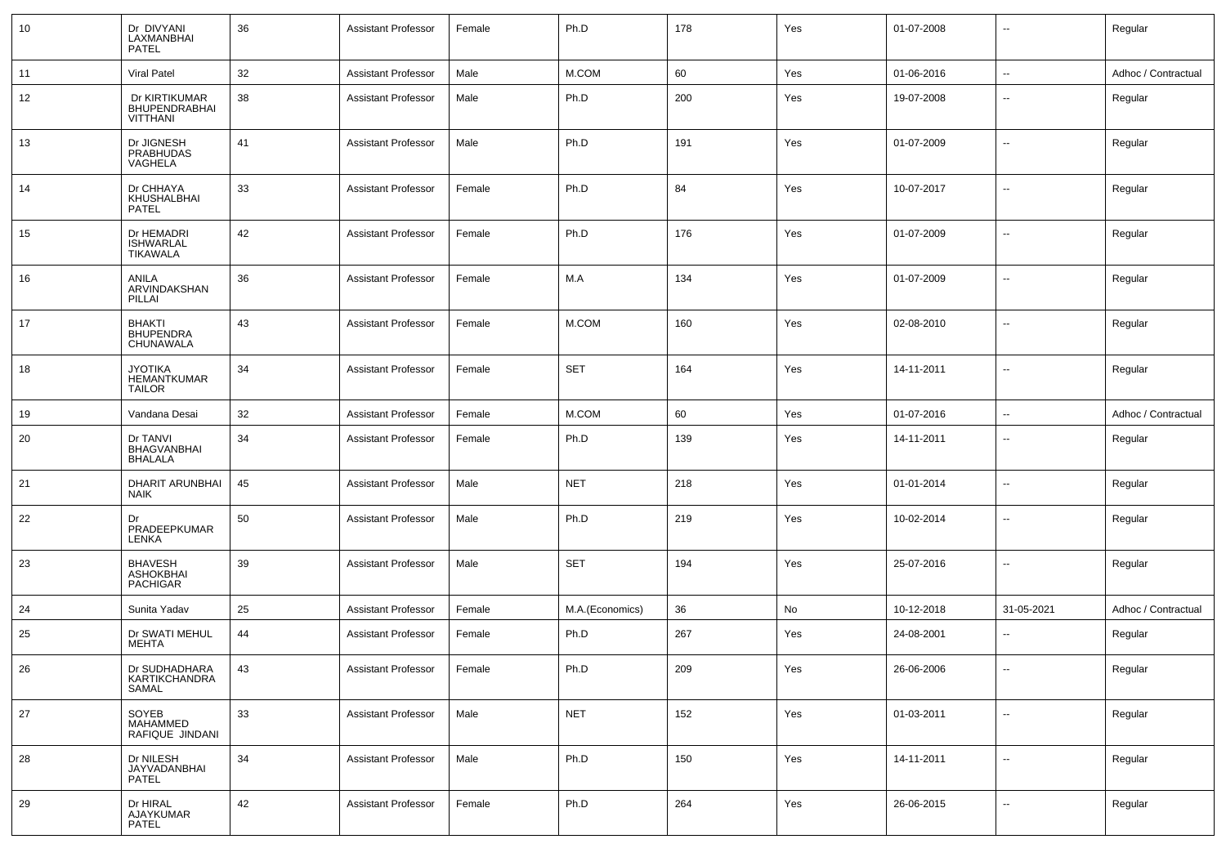| 10 | Dr DIVYANI<br>LAXMANBHAI<br><b>PATEL</b>              | 36 | <b>Assistant Professor</b> | Female | Ph.D            | 178 | Yes | 01-07-2008 | $\overline{\phantom{a}}$ | Regular             |
|----|-------------------------------------------------------|----|----------------------------|--------|-----------------|-----|-----|------------|--------------------------|---------------------|
| 11 | <b>Viral Patel</b>                                    | 32 | <b>Assistant Professor</b> | Male   | M.COM           | 60  | Yes | 01-06-2016 | $\sim$                   | Adhoc / Contractual |
| 12 | Dr KIRTIKUMAR<br>BHUPENDRABHAI<br>VITTHANI            | 38 | <b>Assistant Professor</b> | Male   | Ph.D            | 200 | Yes | 19-07-2008 | ⊷.                       | Regular             |
| 13 | Dr JIGNESH<br><b>PRABHUDAS</b><br>VAGHELA             | 41 | <b>Assistant Professor</b> | Male   | Ph.D            | 191 | Yes | 01-07-2009 | --                       | Regular             |
| 14 | Dr CHHAYA<br>KHUSHALBHAI<br><b>PATEL</b>              | 33 | <b>Assistant Professor</b> | Female | Ph.D            | 84  | Yes | 10-07-2017 | ⊷.                       | Regular             |
| 15 | Dr HEMADRI<br><b>ISHWARLAL</b><br>TIKAWALA            | 42 | <b>Assistant Professor</b> | Female | Ph.D            | 176 | Yes | 01-07-2009 | -−                       | Regular             |
| 16 | ANILA<br>ARVINDAKSHAN<br>PILLAI                       | 36 | <b>Assistant Professor</b> | Female | M.A             | 134 | Yes | 01-07-2009 | $\overline{\phantom{a}}$ | Regular             |
| 17 | <b>BHAKTI</b><br><b>BHUPENDRA</b><br>CHUNAWALA        | 43 | <b>Assistant Professor</b> | Female | M.COM           | 160 | Yes | 02-08-2010 | ⊷.                       | Regular             |
| 18 | <b>JYOTIKA</b><br><b>HEMANTKUMAR</b><br><b>TAILOR</b> | 34 | <b>Assistant Professor</b> | Female | <b>SET</b>      | 164 | Yes | 14-11-2011 | $\overline{\phantom{a}}$ | Regular             |
| 19 | Vandana Desai                                         | 32 | <b>Assistant Professor</b> | Female | M.COM           | 60  | Yes | 01-07-2016 | $\sim$                   | Adhoc / Contractual |
| 20 | Dr TANVI<br><b>BHAGVANBHAI</b><br><b>BHALALA</b>      | 34 | <b>Assistant Professor</b> | Female | Ph.D            | 139 | Yes | 14-11-2011 | $\overline{\phantom{a}}$ | Regular             |
| 21 | <b>DHARIT ARUNBHAI</b><br><b>NAIK</b>                 | 45 | <b>Assistant Professor</b> | Male   | <b>NET</b>      | 218 | Yes | 01-01-2014 | ⊷.                       | Regular             |
| 22 | Dr<br>PRADEEPKUMAR<br>LENKA                           | 50 | <b>Assistant Professor</b> | Male   | Ph.D            | 219 | Yes | 10-02-2014 | $\overline{\phantom{a}}$ | Regular             |
| 23 | <b>BHAVESH</b><br><b>ASHOKBHAI</b><br>PACHIGAR        | 39 | <b>Assistant Professor</b> | Male   | <b>SET</b>      | 194 | Yes | 25-07-2016 | $\overline{\phantom{a}}$ | Regular             |
| 24 | Sunita Yadav                                          | 25 | <b>Assistant Professor</b> | Female | M.A.(Economics) | 36  | No  | 10-12-2018 | 31-05-2021               | Adhoc / Contractual |
| 25 | Dr SWATI MEHUL<br>MEHTA                               | 44 | <b>Assistant Professor</b> | Female | Ph.D            | 267 | Yes | 24-08-2001 | ⊶.                       | Regular             |
| 26 | Dr SUDHADHARA<br>KARTIKCHANDRA<br>SAMAL               | 43 | <b>Assistant Professor</b> | Female | Ph.D            | 209 | Yes | 26-06-2006 |                          | Regular             |
| 27 | SOYEB<br>MAHAMMED<br>RAFIQUE JINDANI                  | 33 | <b>Assistant Professor</b> | Male   | <b>NET</b>      | 152 | Yes | 01-03-2011 | $\sim$                   | Regular             |
| 28 | Dr NILESH<br>JAYVADANBHAI<br>PATEL                    | 34 | <b>Assistant Professor</b> | Male   | Ph.D            | 150 | Yes | 14-11-2011 | $\overline{\phantom{a}}$ | Regular             |
| 29 | Dr HIRAL<br>AJAYKUMAR<br>PATEL                        | 42 | <b>Assistant Professor</b> | Female | Ph.D            | 264 | Yes | 26-06-2015 | $\sim$                   | Regular             |